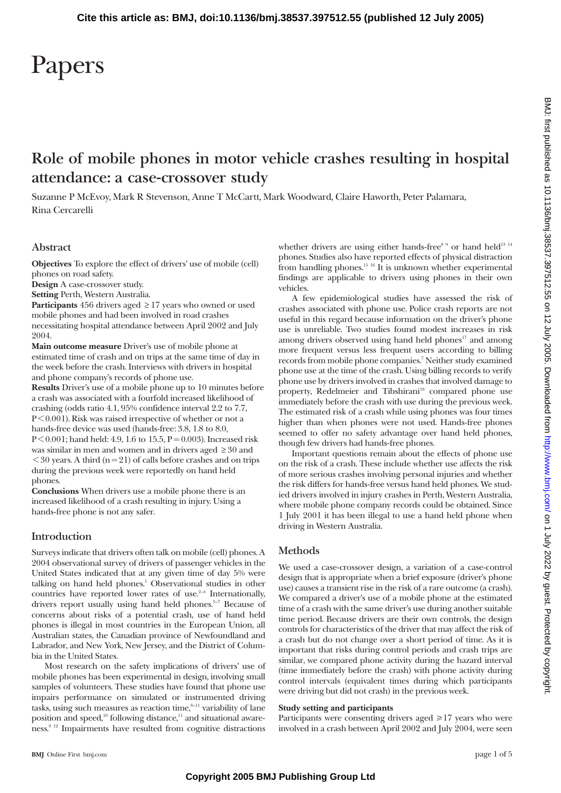# Papers

# **Role of mobile phones in motor vehicle crashes resulting in hospital attendance: a case-crossover study**

Suzanne P McEvoy, Mark R Stevenson, Anne T McCartt, Mark Woodward, Claire Haworth, Peter Palamara, Rina Cercarelli

# **Abstract**

**Objectives** To explore the effect of drivers' use of mobile (cell) phones on road safety.

**Design** A case-crossover study.

**Setting** Perth, Western Australia.

**Participants** 456 drivers aged ≥ 17 years who owned or used mobile phones and had been involved in road crashes necessitating hospital attendance between April 2002 and July 2004.

**Main outcome measure** Driver's use of mobile phone at estimated time of crash and on trips at the same time of day in the week before the crash. Interviews with drivers in hospital and phone company's records of phone use.

**Results** Driver's use of a mobile phone up to 10 minutes before a crash was associated with a fourfold increased likelihood of crashing (odds ratio 4.1, 95% confidence interval 2.2 to 7.7, P < 0.001). Risk was raised irrespective of whether or not a hands-free device was used (hands-free: 3.8, 1.8 to 8.0,  $P < 0.001$ ; hand held: 4.9, 1.6 to 15.5,  $P = 0.003$ ). Increased risk was similar in men and women and in drivers aged ≥ 30 and  $\leq$  30 years. A third (n = 21) of calls before crashes and on trips during the previous week were reportedly on hand held phones.

**Conclusions** When drivers use a mobile phone there is an increased likelihood of a crash resulting in injury. Using a hands-free phone is not any safer.

# **Introduction**

Surveys indicate that drivers often talk on mobile (cell) phones. A 2004 observational survey of drivers of passenger vehicles in the United States indicated that at any given time of day 5% were talking on hand held phones.<sup>1</sup> Observational studies in other countries have reported lower rates of use. $2-4$  Internationally, drivers report usually using hand held phones.<sup>5-7</sup> Because of concerns about risks of a potential crash, use of hand held phones is illegal in most countries in the European Union, all Australian states, the Canadian province of Newfoundland and Labrador, and New York, New Jersey, and the District of Columbia in the United States.

Most research on the safety implications of drivers' use of mobile phones has been experimental in design, involving small samples of volunteers. These studies have found that phone use impairs performance on simulated or instrumented driving tasks, using such measures as reaction time, $s$ <sup>-11</sup> variability of lane position and speed, $10$  following distance, $11$  and situational awareness.9 12 Impairments have resulted from cognitive distractions

whether drivers are using either hands-free<sup>8,9</sup> or hand held<sup>13,14</sup> phones. Studies also have reported effects of physical distraction from handling phones.<sup>15 16</sup> It is unknown whether experimental findings are applicable to drivers using phones in their own vehicles.

A few epidemiological studies have assessed the risk of crashes associated with phone use. Police crash reports are not useful in this regard because information on the driver's phone use is unreliable. Two studies found modest increases in risk among drivers observed using hand held phones<sup>17</sup> and among more frequent versus less frequent users according to billing records from mobile phone companies.<sup>7</sup> Neither study examined phone use at the time of the crash. Using billing records to verify phone use by drivers involved in crashes that involved damage to property, Redelmeier and Tibshirani<sup>18</sup> compared phone use immediately before the crash with use during the previous week. The estimated risk of a crash while using phones was four times higher than when phones were not used. Hands-free phones seemed to offer no safety advantage over hand held phones, though few drivers had hands-free phones.

Important questions remain about the effects of phone use on the risk of a crash. These include whether use affects the risk of more serious crashes involving personal injuries and whether the risk differs for hands-free versus hand held phones. We studied drivers involved in injury crashes in Perth, Western Australia, where mobile phone company records could be obtained. Since 1 July 2001 it has been illegal to use a hand held phone when driving in Western Australia.

# **Methods**

We used a case-crossover design, a variation of a case-control design that is appropriate when a brief exposure (driver's phone use) causes a transient rise in the risk of a rare outcome (a crash). We compared a driver's use of a mobile phone at the estimated time of a crash with the same driver's use during another suitable time period. Because drivers are their own controls, the design controls for characteristics of the driver that may affect the risk of a crash but do not change over a short period of time. As it is important that risks during control periods and crash trips are similar, we compared phone activity during the hazard interval (time immediately before the crash) with phone activity during control intervals (equivalent times during which participants were driving but did not crash) in the previous week.

#### **Study setting and participants**

Participants were consenting drivers aged  $\geq 17$  years who were involved in a crash between April 2002 and July 2004, were seen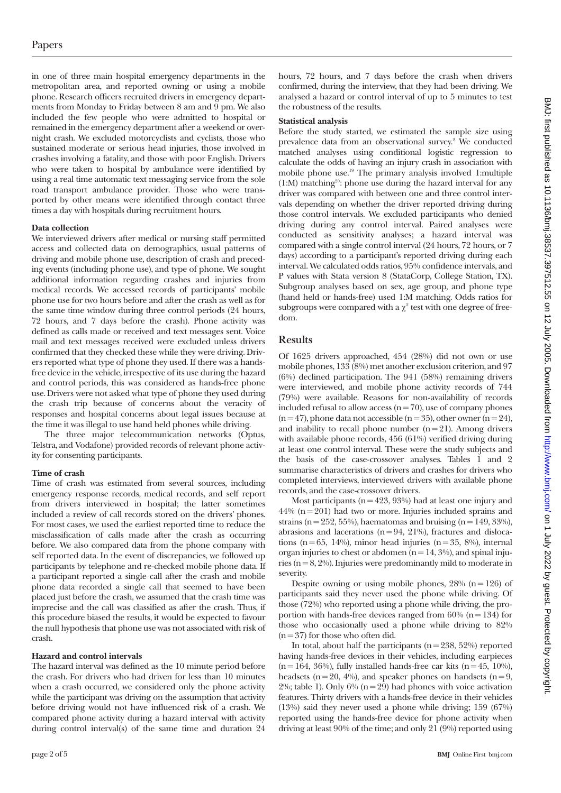in one of three main hospital emergency departments in the metropolitan area, and reported owning or using a mobile phone. Research officers recruited drivers in emergency departments from Monday to Friday between 8 am and 9 pm. We also included the few people who were admitted to hospital or remained in the emergency department after a weekend or overnight crash. We excluded motorcyclists and cyclists, those who sustained moderate or serious head injuries, those involved in crashes involving a fatality, and those with poor English. Drivers who were taken to hospital by ambulance were identified by using a real time automatic text messaging service from the sole road transport ambulance provider. Those who were transported by other means were identified through contact three times a day with hospitals during recruitment hours.

#### **Data collection**

We interviewed drivers after medical or nursing staff permitted access and collected data on demographics, usual patterns of driving and mobile phone use, description of crash and preceding events (including phone use), and type of phone. We sought additional information regarding crashes and injuries from medical records. We accessed records of participants' mobile phone use for two hours before and after the crash as well as for the same time window during three control periods (24 hours, 72 hours, and 7 days before the crash). Phone activity was defined as calls made or received and text messages sent. Voice mail and text messages received were excluded unless drivers confirmed that they checked these while they were driving. Drivers reported what type of phone they used. If there was a handsfree device in the vehicle, irrespective of its use during the hazard and control periods, this was considered as hands-free phone use. Drivers were not asked what type of phone they used during the crash trip because of concerns about the veracity of responses and hospital concerns about legal issues because at the time it was illegal to use hand held phones while driving.

The three major telecommunication networks (Optus, Telstra, and Vodafone) provided records of relevant phone activity for consenting participants.

# **Time of crash**

Time of crash was estimated from several sources, including emergency response records, medical records, and self report from drivers interviewed in hospital; the latter sometimes included a review of call records stored on the drivers' phones. For most cases, we used the earliest reported time to reduce the misclassification of calls made after the crash as occurring before. We also compared data from the phone company with self reported data. In the event of discrepancies, we followed up participants by telephone and re-checked mobile phone data. If a participant reported a single call after the crash and mobile phone data recorded a single call that seemed to have been placed just before the crash, we assumed that the crash time was imprecise and the call was classified as after the crash. Thus, if this procedure biased the results, it would be expected to favour the null hypothesis that phone use was not associated with risk of crash.

#### **Hazard and control intervals**

The hazard interval was defined as the 10 minute period before the crash. For drivers who had driven for less than 10 minutes when a crash occurred, we considered only the phone activity while the participant was driving on the assumption that activity before driving would not have influenced risk of a crash. We compared phone activity during a hazard interval with activity during control interval(s) of the same time and duration 24

hours, 72 hours, and 7 days before the crash when drivers confirmed, during the interview, that they had been driving. We analysed a hazard or control interval of up to 5 minutes to test the robustness of the results.

#### **Statistical analysis**

Before the study started, we estimated the sample size using prevalence data from an observational survey.<sup>2</sup> We conducted matched analyses using conditional logistic regression to calculate the odds of having an injury crash in association with mobile phone use.<sup>19</sup> The primary analysis involved 1:multiple  $(1:M)$  matching<sup>20</sup>: phone use during the hazard interval for any driver was compared with between one and three control intervals depending on whether the driver reported driving during those control intervals. We excluded participants who denied driving during any control interval. Paired analyses were conducted as sensitivity analyses; a hazard interval was compared with a single control interval (24 hours, 72 hours, or 7 days) according to a participant's reported driving during each interval. We calculated odds ratios, 95% confidence intervals, and P values with Stata version 8 (StataCorp, College Station, TX). Subgroup analyses based on sex, age group, and phone type (hand held or hands-free) used 1:M matching. Odds ratios for subgroups were compared with a  $\chi^2$  test with one degree of freedom.

# **Results**

Of 1625 drivers approached, 454 (28%) did not own or use mobile phones, 133 (8%) met another exclusion criterion, and 97 (6%) declined participation. The 941 (58%) remaining drivers were interviewed, and mobile phone activity records of 744 (79%) were available. Reasons for non-availability of records included refusal to allow access  $(n = 70)$ , use of company phones  $(n=47)$ , phone data not accessible  $(n=35)$ , other owner  $(n=24)$ , and inability to recall phone number  $(n=21)$ . Among drivers with available phone records, 456 (61%) verified driving during at least one control interval. These were the study subjects and the basis of the case-crossover analyses. Tables 1 and 2 summarise characteristics of drivers and crashes for drivers who completed interviews, interviewed drivers with available phone records, and the case-crossover drivers.

Most participants ( $n = 423, 93\%$ ) had at least one injury and  $44\%$  (n = 201) had two or more. Injuries included sprains and strains (n = 252, 55%), haematomas and bruising (n = 149, 33%), abrasions and lacerations ( $n = 94$ , 21%), fractures and dislocations (n = 65, 14%), minor head injuries (n = 35, 8%), internal organ injuries to chest or abdomen  $(n = 14, 3\%)$ , and spinal injuries ( $n = 8, 2\%$ ). Injuries were predominantly mild to moderate in severity.

Despite owning or using mobile phones,  $28\%$  (n = 126) of participants said they never used the phone while driving. Of those (72%) who reported using a phone while driving, the proportion with hands-free devices ranged from  $60\%$  (n = 134) for those who occasionally used a phone while driving to 82%  $(n=37)$  for those who often did.

In total, about half the participants ( $n = 238, 52\%$ ) reported having hands-free devices in their vehicles, including earpieces  $(n = 164, 36%)$ , fully installed hands-free car kits  $(n = 45, 10%)$ , headsets ( $n = 20$ , 4%), and speaker phones on handsets ( $n = 9$ , 2%; table 1). Only 6%  $(n=29)$  had phones with voice activation features. Thirty drivers with a hands-free device in their vehicles (13%) said they never used a phone while driving; 159 (67%) reported using the hands-free device for phone activity when driving at least 90% of the time; and only  $21(9%)$  reported using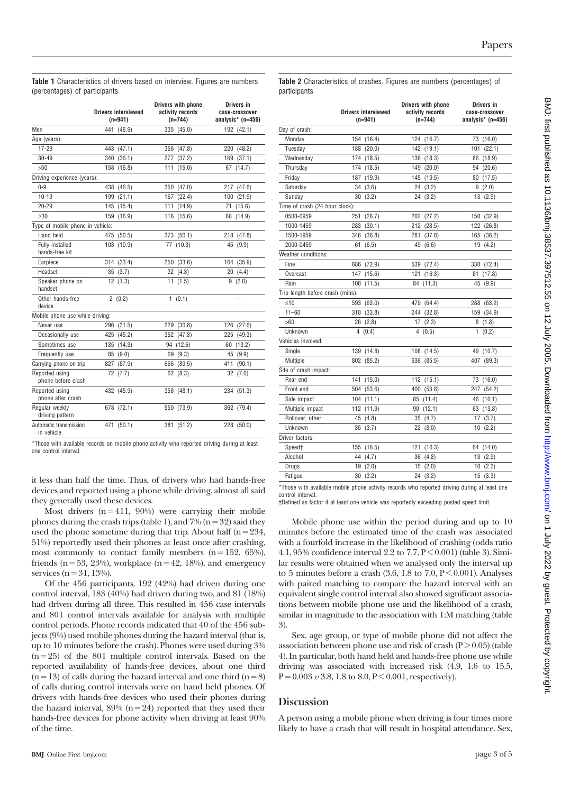**Table 1** Characteristics of drivers based on interview. Figures are numbers (percentages) of participants

|                                      | <b>Drivers interviewed</b><br>$(n=941)$ | Drivers with phone<br>activity records<br>$(n=744)$ | Drivers in<br>case-crossover<br>analysis* (n=456) |
|--------------------------------------|-----------------------------------------|-----------------------------------------------------|---------------------------------------------------|
| Men                                  | 441 (46.9)                              | 335 (45.0)                                          | 192 (42.1)                                        |
| Age (years):                         |                                         |                                                     |                                                   |
| 17-29                                | 443 (47.1)                              | 356 (47.8)                                          | 220 (48.2)                                        |
| $30 - 49$                            | 340 (36.1)                              | 277 (37.2)                                          | 169 (37.1)                                        |
| >50                                  | 158 (16.8)                              | 111 (15.0)                                          | 67 (14.7)                                         |
| Driving experience (years):          |                                         |                                                     |                                                   |
| $0 - 9$                              | 438 (46.5)                              | 350 (47.0)                                          | 217 (47.6)                                        |
| $10 - 19$                            | 199 (21.1)                              | 167 (22.4)                                          | 100 (21.9)                                        |
| $20 - 29$                            | 145 (15.4)                              | 111 (14.9)                                          | 71<br>(15.6)                                      |
| >30                                  | 159 (16.9)                              | 116 (15.6)                                          | 68 (14.9)                                         |
| Type of mobile phone in vehicle:     |                                         |                                                     |                                                   |
| Hand held                            | 475 (50.5)                              | 373 (50.1)                                          | 218 (47.8)                                        |
| Fully installed<br>hands-free kit    | 103 (10.9)                              | 77 (10.3)                                           | 45 (9.9)                                          |
| Earpiece                             | 314 (33.4)                              | 250 (33.6)                                          | 164 (35.9)                                        |
| Headset                              | 35(3.7)                                 | 32(4.3)                                             | 20(4.4)                                           |
| Speaker phone on<br>handset          | 12(1.3)                                 | 11(1.5)                                             | 9(2.0)                                            |
| Other hands-free<br>device           | 2(0.2)                                  | 1(0.1)                                              |                                                   |
| Mobile phone use while driving:      |                                         |                                                     |                                                   |
| Never use                            | 296 (31.5)                              | 229 (30.8)                                          | 126 (27.6)                                        |
| Occasionally use                     | 425 (45.2)                              | 352 (47.3)                                          | 225 (49.3)                                        |
| Sometimes use                        | 135 (14.3)                              | 94 (12.6)                                           | 60 (13.2)                                         |
| Frequently use                       | 85 (9.0)                                | 69 (9.3)                                            | 45 (9.9)                                          |
| Carrying phone on trip               | 827 (87.9)                              | 666 (89.5)                                          | (90.1)<br>411                                     |
| Reported using<br>phone before crash | 72 (7.7)                                | 62 (8.3)                                            | 32(7.0)                                           |
| Reported using<br>phone after crash  | 432 (45.9)                              | 358 (48.1)                                          | 234 (51.3)                                        |
| Regular weekly<br>driving pattern    | 678 (72.1)                              | 550 (73.9)                                          | 362 (79.4)                                        |
| Automatic transmission<br>in vehicle | 471 (50.1)                              | 381 (51.2)                                          | 228 (50.0)                                        |

\*Those with available records on mobile phone activity who reported driving during at least one control interval.

it less than half the time. Thus, of drivers who had hands-free devices and reported using a phone while driving, almost all said they generally used these devices.

Most drivers  $(n = 411, 90\%)$  were carrying their mobile phones during the crash trips (table 1), and  $7\%$  (n = 32) said they used the phone sometime during that trip. About half  $(n=234,$ 51%) reportedly used their phones at least once after crashing, most commonly to contact family members  $(n = 152, 65\%)$ . friends ( $n = 53$ , 23%), workplace ( $n = 42$ , 18%), and emergency services ( $n = 31, 13%$ ).

Of the 456 participants, 192 (42%) had driven during one control interval, 183 (40%) had driven during two, and 81 (18%) had driven during all three. This resulted in 456 case intervals and 801 control intervals available for analysis with multiple control periods. Phone records indicated that 40 of the 456 subjects (9%) used mobile phones during the hazard interval (that is, up to 10 minutes before the crash). Phones were used during 3%  $(n=25)$  of the 801 multiple control intervals. Based on the reported availability of hands-free devices, about one third  $(n=13)$  of calls during the hazard interval and one third  $(n=8)$ of calls during control intervals were on hand held phones. Of drivers with hands-free devices who used their phones during the hazard interval,  $89\%$  (n = 24) reported that they used their hands-free devices for phone activity when driving at least 90% of the time.

**Table 2** Characteristics of crashes. Figures are numbers (percentages) of participants

|                                  | <b>Drivers interviewed</b><br>$(n=941)$ | Drivers with phone<br>activity records<br>$(n=744)$ | Drivers in<br>case-crossover<br>analysis $*$ (n=456) |
|----------------------------------|-----------------------------------------|-----------------------------------------------------|------------------------------------------------------|
| Day of crash:                    |                                         |                                                     |                                                      |
| Monday                           | 154<br>(16.4)                           | 124<br>(16.7)                                       | 73 (16.0)                                            |
| Tuesday                          | 188 (20.0)                              | 142 (19.1)                                          | 101<br>(22.1)                                        |
| Wednesday                        | 174 (18.5)                              | 136 (18.3)                                          | 86 (18.9)                                            |
| Thursday                         | 174 (18.5)                              | 149 (20.0)                                          | 94 (20.6)                                            |
| Friday                           | 187 (19.9)                              | 145 (19.5)                                          | 80 (17.5)                                            |
| Saturday                         | 34<br>(3.6)                             | (3.2)<br>24                                         | 9<br>(2.0)                                           |
| Sunday                           | 30<br>(3.2)                             | 24<br>(3.2)                                         | (2.9)<br>13                                          |
| Time of crash (24 hour clock):   |                                         |                                                     |                                                      |
| 0500-0959                        | 251<br>(26.7)                           | 202 (27.2)                                          | 150 (32.9)                                           |
| 1000-1459                        | 283 (30.1)                              | 212 (28.5)                                          | 122 (26.8)                                           |
| 1500-1959                        | 346<br>(36.8)                           | 281<br>(37.8)                                       | 165 (36.2)                                           |
| 2000-0459                        | 61<br>(6.5)                             | 49<br>(6.6)                                         | 19<br>(4.2)                                          |
| Weather conditions:              |                                         |                                                     |                                                      |
| Fine                             | 686 (72.9)                              | 539 (72.4)                                          | 330 (72.4)                                           |
| Overcast                         | 147<br>(15.6)                           | 121<br>(16.3)                                       | 81<br>(17.8)                                         |
| Rain                             | 108 (11.5)                              | 84<br>(11.3)                                        | 45<br>(9.9)                                          |
| Trip length before crash (mins): |                                         |                                                     |                                                      |
| $\leq 10$                        | 593 (63.0)                              | 479<br>(64.4)                                       | 288 (63.2)                                           |
| $11 - 60$                        | 318 (33.8)                              | 244 (32.8)                                          | 159 (34.9)                                           |
| >60                              | 26 (2.8)                                | (2.3)<br>17                                         | 8(1.8)                                               |
| Unknown                          | 4(0.4)                                  | 4<br>(0.5)                                          | 1<br>(0.2)                                           |
| Vehicles involved:               |                                         |                                                     |                                                      |
| Single                           | 139<br>(14.8)                           | 108 (14.5)                                          | 49<br>(10.7)                                         |
| Multiple                         | 802<br>(85.2)                           | 636 (85.5)                                          | 407<br>(89.3)                                        |
| Site of crash impact:            |                                         |                                                     |                                                      |
| Rear end                         | 141<br>(15.0)                           | 112<br>(15.1)                                       | 73 (16.0)                                            |
| Front end                        | 504<br>(53.6)                           | 400<br>(53.8)                                       | 247<br>(54.2)                                        |
| Side impact                      | $104$ $(11.1)$                          | 85 (11.4)                                           | 46<br>(10.1)                                         |
| Multiple impact                  | 112 (11.9)                              | 90 (12.1)                                           | 63 (13.8)                                            |
| Rollover, other                  | 45<br>(4.8)                             | 35 (4.7)                                            | 17(3.7)                                              |
| Unknown                          | 35<br>(3.7)                             | 22<br>(3.0)                                         | 10(2.2)                                              |
| Driver factors:                  |                                         |                                                     |                                                      |
| Speed†                           | 155<br>(16.5)                           | 121<br>(16.3)                                       | 64 (14.0)                                            |
| Alcohol                          | 44<br>(4.7)                             | 36<br>(4.8)                                         | 13(2.9)                                              |
| Drugs                            | 19 (2.0)                                | 15(2.0)                                             | 10(2.2)                                              |
| Fatigue                          | 30(3.2)                                 | 24<br>(3.2)                                         | 15(3.3)                                              |

\*Those with available mobile phone activity records who reported driving during at least one control interval.

†Defined as factor if at least one vehicle was reportedly exceeding posted speed limit.

Mobile phone use within the period during and up to 10 minutes before the estimated time of the crash was associated with a fourfold increase in the likelihood of crashing (odds ratio 4.1, 95% confidence interval 2.2 to  $7.7$ ,  $P < 0.001$ ) (table 3). Similar results were obtained when we analysed only the interval up to 5 minutes before a crash  $(3.6, 1.8 \text{ to } 7.0, P \le 0.001)$ . Analyses with paired matching to compare the hazard interval with an equivalent single control interval also showed significant associations between mobile phone use and the likelihood of a crash, similar in magnitude to the association with 1:M matching (table 3).

Sex, age group, or type of mobile phone did not affect the association between phone use and risk of crash  $(P > 0.05)$  (table 4). In particular, both hand held and hands-free phone use while driving was associated with increased risk (4.9, 1.6 to 15.5,  $P = 0.003 \, v \, 3.8$ , 1.8 to  $8.0, P \leq 0.001$ , respectively).

#### **Discussion**

A person using a mobile phone when driving is four times more likely to have a crash that will result in hospital attendance. Sex,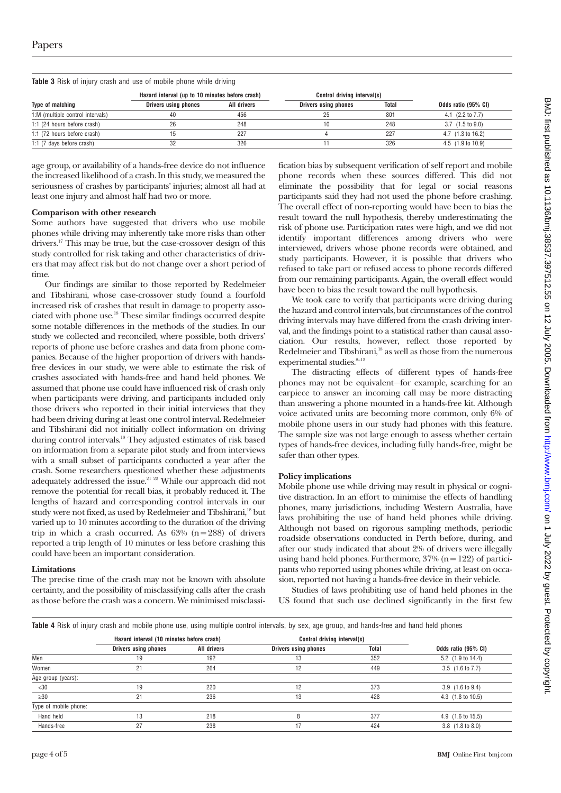| Type of matching                 | Hazard interval (up to 10 minutes before crash) |             | Control driving interval(s) |       |                               |
|----------------------------------|-------------------------------------------------|-------------|-----------------------------|-------|-------------------------------|
|                                  | <b>Drivers using phones</b>                     | All drivers | <b>Drivers using phones</b> | Total | Odds ratio (95% CI)           |
| 1:M (multiple control intervals) | 40                                              | 456         | 25                          | 801   | 4.1 $(2.2 \text{ to } 7.7)$   |
| 1:1 (24 hours before crash)      | 26                                              | 248         | 10                          | 248   | $3.7$ $(1.5 \text{ to } 9.0)$ |
| 1:1 (72 hours before crash)      | 15                                              | 227         |                             | 227   | 4.7 (1.3 to 16.2)             |
| 1:1 (7 days before crash)        | 32                                              | 326         |                             | 326   | 4.5 (1.9 to 10.9)             |

**Table 3** Risk of injury crash and use of mobile phone while driving

age group, or availability of a hands-free device do not influence the increased likelihood of a crash. In this study, we measured the seriousness of crashes by participants' injuries; almost all had at least one injury and almost half had two or more.

# **Comparison with other research**

Some authors have suggested that drivers who use mobile phones while driving may inherently take more risks than other drivers.17 This may be true, but the case-crossover design of this study controlled for risk taking and other characteristics of drivers that may affect risk but do not change over a short period of time.

Our findings are similar to those reported by Redelmeier and Tibshirani, whose case-crossover study found a fourfold increased risk of crashes that result in damage to property associated with phone use.18 These similar findings occurred despite some notable differences in the methods of the studies. In our study we collected and reconciled, where possible, both drivers' reports of phone use before crashes and data from phone companies. Because of the higher proportion of drivers with handsfree devices in our study, we were able to estimate the risk of crashes associated with hands-free and hand held phones. We assumed that phone use could have influenced risk of crash only when participants were driving, and participants included only those drivers who reported in their initial interviews that they had been driving during at least one control interval. Redelmeier and Tibshirani did not initially collect information on driving during control intervals.18 They adjusted estimates of risk based on information from a separate pilot study and from interviews with a small subset of participants conducted a year after the crash. Some researchers questioned whether these adjustments adequately addressed the issue.<sup>21 22</sup> While our approach did not remove the potential for recall bias, it probably reduced it. The lengths of hazard and corresponding control intervals in our study were not fixed, as used by Redelmeier and Tibshirani,<sup>18</sup> but varied up to 10 minutes according to the duration of the driving trip in which a crash occurred. As  $63\%$  (n = 288) of drivers reported a trip length of 10 minutes or less before crashing this could have been an important consideration.

# **Limitations**

The precise time of the crash may not be known with absolute certainty, and the possibility of misclassifying calls after the crash as those before the crash was a concern. We minimised misclassi-

fication bias by subsequent verification of self report and mobile phone records when these sources differed. This did not eliminate the possibility that for legal or social reasons participants said they had not used the phone before crashing. The overall effect of non-reporting would have been to bias the result toward the null hypothesis, thereby underestimating the risk of phone use. Participation rates were high, and we did not identify important differences among drivers who were interviewed, drivers whose phone records were obtained, and study participants. However, it is possible that drivers who refused to take part or refused access to phone records differed from our remaining participants. Again, the overall effect would have been to bias the result toward the null hypothesis.

We took care to verify that participants were driving during the hazard and control intervals, but circumstances of the control driving intervals may have differed from the crash driving interval, and the findings point to a statistical rather than causal association. Our results, however, reflect those reported by Redelmeier and Tibshirani,<sup>18</sup> as well as those from the numerous experimental studies.<sup>8-12</sup>

The distracting effects of different types of hands-free phones may not be equivalent—for example, searching for an earpiece to answer an incoming call may be more distracting than answering a phone mounted in a hands-free kit. Although voice activated units are becoming more common, only 6% of mobile phone users in our study had phones with this feature. The sample size was not large enough to assess whether certain types of hands-free devices, including fully hands-free, might be safer than other types.

# **Policy implications**

Mobile phone use while driving may result in physical or cognitive distraction. In an effort to minimise the effects of handling phones, many jurisdictions, including Western Australia, have laws prohibiting the use of hand held phones while driving. Although not based on rigorous sampling methods, periodic roadside observations conducted in Perth before, during, and after our study indicated that about 2% of drivers were illegally using hand held phones. Furthermore,  $37\%$  (n = 122) of participants who reported using phones while driving, at least on occasion, reported not having a hands-free device in their vehicle.

Studies of laws prohibiting use of hand held phones in the US found that such use declined significantly in the first few

**Table 4** Risk of injury crash and mobile phone use, using multiple control intervals, by sex, age group, and hands-free and hand held phones

|                       | Hazard interval (10 minutes before crash) |             | Control driving interval(s) |       |                               |
|-----------------------|-------------------------------------------|-------------|-----------------------------|-------|-------------------------------|
|                       | <b>Drivers using phones</b>               | All drivers | <b>Drivers using phones</b> | Total | Odds ratio (95% CI)           |
| Men                   | 19                                        | 192         | 13                          | 352   | 5.2 (1.9 to 14.4)             |
| Women                 | 21                                        | 264         | 12                          | 449   | $3.5$ $(1.6 \text{ to } 7.7)$ |
| Age group (years):    |                                           |             |                             |       |                               |
| $30$                  | 19                                        | 220         | 12                          | 373   | $3.9$ $(1.6 \text{ to } 9.4)$ |
| $\geq 30$             | 21                                        | 236         | 13                          | 428   | 4.3 (1.8 to 10.5)             |
| Type of mobile phone: |                                           |             |                             |       |                               |
| Hand held             | 13                                        | 218         |                             | 377   | 4.9 $(1.6 \text{ to } 15.5)$  |
| Hands-free            | 27                                        | 238         | 17                          | 424   | $3.8$ $(1.8 \text{ to } 8.0)$ |